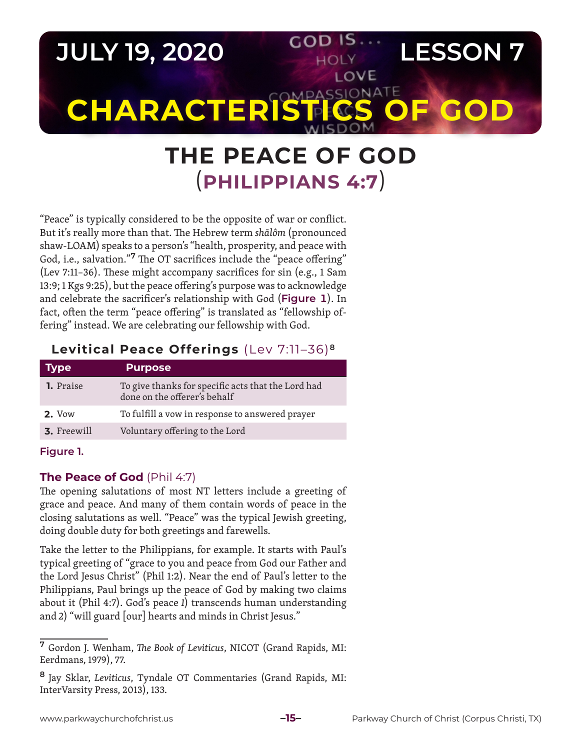

# **THE PEACE OF GOD** (**PHILIPPIANS 4:7**)

"Peace" is typically considered to be the opposite of war or conflict. But it's really more than that. The Hebrew term *shālôm* (pronounced shaw-LOAM) speaks to a person's "health, prosperity, and peace with God, i.e., salvation."**7** The OT sacrifices include the "peace offering" (Lev 7:11–36). These might accompany sacrifices for sin (e.g., 1 Sam 13:9; 1 Kgs 9:25), but the peace offering's purpose was to acknowledge and celebrate the sacrificer's relationship with God (**Figure 1**). In fact, often the term "peace offering" is translated as "fellowship offering" instead. We are celebrating our fellowship with God.

# **Levitical Peace Offerings** (Lev 7:11–36)**<sup>8</sup>**

| <b>Type</b>        | <b>Purpose</b>                                                                     |
|--------------------|------------------------------------------------------------------------------------|
| <b>1.</b> Praise   | To give thanks for specific acts that the Lord had<br>done on the offerer's behalf |
| <b>2.</b> Vow      | To fulfill a vow in response to answered prayer                                    |
| <b>3.</b> Freewill | Voluntary offering to the Lord                                                     |
|                    |                                                                                    |

#### **Figure 1.**

## **The Peace of God** (Phil 4:7)

The opening salutations of most NT letters include a greeting of grace and peace. And many of them contain words of peace in the closing salutations as well. "Peace" was the typical Jewish greeting, doing double duty for both greetings and farewells.

Take the letter to the Philippians, for example. It starts with Paul's typical greeting of "grace to you and peace from God our Father and the Lord Jesus Christ" (Phil 1:2). Near the end of Paul's letter to the Philippians, Paul brings up the peace of God by making two claims about it (Phil 4:7). God's peace *1*) transcends human understanding and *2*) "will guard [our] hearts and minds in Christ Jesus."

**<sup>7</sup>** Gordon J. Wenham, *The Book of Leviticus*, NICOT (Grand Rapids, MI: Eerdmans, 1979), 77.

**<sup>8</sup>** Jay Sklar, *Leviticus*, Tyndale OT Commentaries (Grand Rapids, MI: InterVarsity Press, 2013), 133.